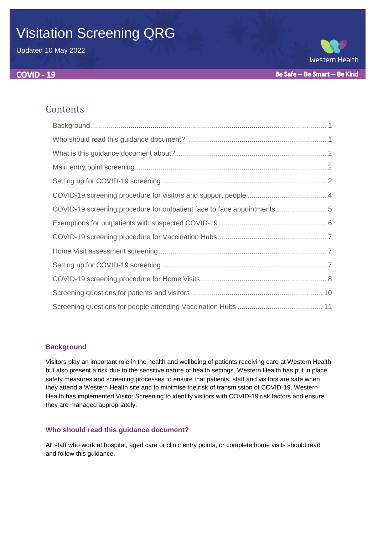# Visitation Screening QRG

Updated 10 May 2022



# **Contents**

| COVID-19 screening procedure for outpatient face to face appointments 5 |
|-------------------------------------------------------------------------|
|                                                                         |
|                                                                         |
|                                                                         |
|                                                                         |
|                                                                         |
|                                                                         |
|                                                                         |

## <span id="page-0-0"></span>**Background**

Visitors play an important role in the health and wellbeing of patients receiving care at Western Health but also present a risk due to the sensitive nature of health settings. Western Health has put in place safety measures and screening processes to ensure that patients, staff and visitors are safe when they attend a Western Health site and to minimise the risk of transmission of COVID-19. Western Health has implemented Visitor Screening to identify visitors with COVID-19 risk factors and ensure they are managed appropriately.

## <span id="page-0-1"></span>**Who should read this guidance document?**

All staff who work at hospital, aged care or clinic entry points, or complete home visits should read and follow this guidance.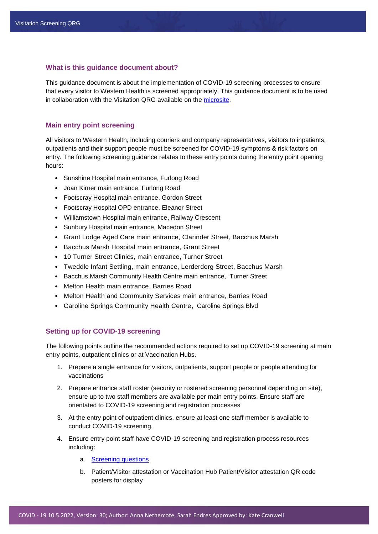#### <span id="page-1-0"></span>**What is this guidance document about?**

This guidance document is about the implementation of COVID-19 screening processes to ensure that every visitor to Western Health is screened appropriately. This guidance document is to be used in collaboration with the Visitation QRG available on the [microsite.](https://coronavirus.wh.org.au/quick-reference-guides/)

#### <span id="page-1-1"></span>**Main entry point screening**

All visitors to Western Health, including couriers and company representatives, visitors to inpatients, outpatients and their support people must be screened for COVID-19 symptoms & risk factors on entry. The following screening guidance relates to these entry points during the entry point opening hours:

- Sunshine Hospital main entrance, Furlong Road
- Joan Kirner main entrance, Furlong Road
- Footscray Hospital main entrance, Gordon Street
- Footscray Hospital OPD entrance, Eleanor Street
- Williamstown Hospital main entrance, Railway Crescent
- Sunbury Hospital main entrance, Macedon Street
- Grant Lodge Aged Care main entrance, Clarinder Street, Bacchus Marsh
- Bacchus Marsh Hospital main entrance, Grant Street
- 10 Turner Street Clinics, main entrance, Turner Street
- Tweddle Infant Settling, main entrance, Lerderderg Street, Bacchus Marsh
- Bacchus Marsh Community Health Centre main entrance, Turner Street
- Melton Health main entrance, Barries Road
- Melton Health and Community Services main entrance, Barries Road
- <span id="page-1-2"></span>• Caroline Springs Community Health Centre, Caroline Springs Blvd

#### **Setting up for COVID-19 screening**

The following points outline the recommended actions required to set up COVID-19 screening at main entry points, outpatient clinics or at Vaccination Hubs.

- 1. Prepare a single entrance for visitors, outpatients, support people or people attending for vaccinations
- 2. Prepare entrance staff roster (security or rostered screening personnel depending on site), ensure up to two staff members are available per main entry points. Ensure staff are orientated to COVID-19 screening and registration processes
- 3. At the entry point of outpatient clinics, ensure at least one staff member is available to conduct COVID-19 screening.
- 4. Ensure entry point staff have COVID-19 screening and registration process resources including:
	- a. [Screening questions](#page-8-0)
	- b. Patient/Visitor attestation or Vaccination Hub Patient/Visitor attestation QR code posters for display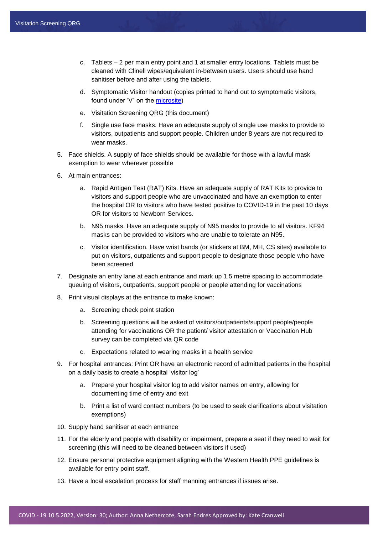- c. Tablets 2 per main entry point and 1 at smaller entry locations. Tablets must be cleaned with Clinell wipes/equivalent in-between users. Users should use hand sanitiser before and after using the tablets.
- d. Symptomatic Visitor handout (copies printed to hand out to symptomatic visitors, found under 'V" on the [microsite\)](https://coronavirus.wh.org.au/quick-reference-guides/)
- e. Visitation Screening QRG (this document)
- f. Single use face masks. Have an adequate supply of single use masks to provide to visitors, outpatients and support people. Children under 8 years are not required to wear masks.
- 5. Face shields. A supply of face shields should be available for those with a lawful mask exemption to wear wherever possible
- 6. At main entrances:
	- a. Rapid Antigen Test (RAT) Kits. Have an adequate supply of RAT Kits to provide to visitors and support people who are unvaccinated and have an exemption to enter the hospital OR to visitors who have tested positive to COVID-19 in the past 10 days OR for visitors to Newborn Services.
	- b. N95 masks. Have an adequate supply of N95 masks to provide to all visitors. KF94 masks can be provided to visitors who are unable to tolerate an N95.
	- c. Visitor identification. Have wrist bands (or stickers at BM, MH, CS sites) available to put on visitors, outpatients and support people to designate those people who have been screened
- 7. Designate an entry lane at each entrance and mark up 1.5 metre spacing to accommodate queuing of visitors, outpatients, support people or people attending for vaccinations
- 8. Print visual displays at the entrance to make known:
	- a. Screening check point station
	- b. Screening questions will be asked of visitors/outpatients/support people/people attending for vaccinations OR the patient/ visitor attestation or Vaccination Hub survey can be completed via QR code
	- c. Expectations related to wearing masks in a health service
- 9. For hospital entrances: Print OR have an electronic record of admitted patients in the hospital on a daily basis to create a hospital 'visitor log'
	- a. Prepare your hospital visitor log to add visitor names on entry, allowing for documenting time of entry and exit
	- b. Print a list of ward contact numbers (to be used to seek clarifications about visitation exemptions)
- 10. Supply hand sanitiser at each entrance
- 11. For the elderly and people with disability or impairment, prepare a seat if they need to wait for screening (this will need to be cleaned between visitors if used)
- 12. Ensure personal protective equipment aligning with the Western Health PPE guidelines is available for entry point staff.
- 13. Have a local escalation process for staff manning entrances if issues arise.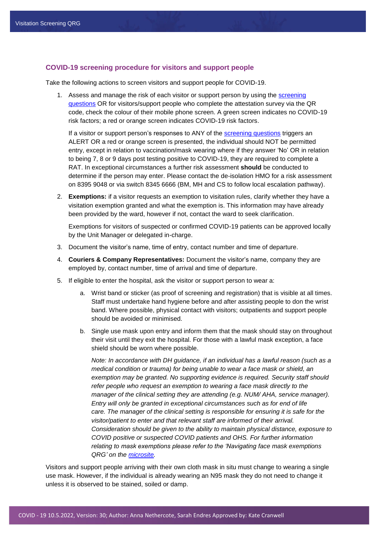#### <span id="page-3-0"></span>**COVID-19 screening procedure for visitors and support people**

Take the following actions to screen visitors and support people for COVID-19.

1. Assess and manage the risk of each visitor or support person by using the [screening](#page-8-0)  [questions](#page-8-0) OR for visitors/support people who complete the attestation survey via the QR code, check the colour of their mobile phone screen. A green screen indicates no COVID-19 risk factors; a red or orange screen indicates COVID-19 risk factors.

If a visitor or support person's responses to ANY of the [screening questions](#page-8-0) triggers an ALERT OR a red or orange screen is presented, the individual should NOT be permitted entry, except in relation to vaccination/mask wearing where if they answer 'No' OR in relation to being 7, 8 or 9 days post testing positive to COVID-19, they are required to complete a RAT. In exceptional circumstances a further risk assessment **should** be conducted to determine if the person may enter. Please contact the de-isolation HMO for a risk assessment on 8395 9048 or via switch 8345 6666 (BM, MH and CS to follow local escalation pathway).

2. **Exemptions:** if a visitor requests an exemption to visitation rules, clarify whether they have a visitation exemption granted and what the exemption is. This information may have already been provided by the ward, however if not, contact the ward to seek clarification.

Exemptions for visitors of suspected or confirmed COVID-19 patients can be approved locally by the Unit Manager or delegated in-charge.

- 3. Document the visitor's name, time of entry, contact number and time of departure.
- 4. **Couriers & Company Representatives:** Document the visitor's name, company they are employed by, contact number, time of arrival and time of departure.
- 5. If eligible to enter the hospital, ask the visitor or support person to wear a:
	- a. Wrist band or sticker (as proof of screening and registration) that is visible at all times. Staff must undertake hand hygiene before and after assisting people to don the wrist band. Where possible, physical contact with visitors; outpatients and support people should be avoided or minimised.
	- b. Single use mask upon entry and inform them that the mask should stay on throughout their visit until they exit the hospital. For those with a lawful mask exception, a face shield should be worn where possible.

*Note: In accordance with DH guidance, if an individual has a lawful reason (such as a medical condition or trauma) for being unable to wear a face mask or shield, an exemption may be granted. No supporting evidence is required. Security staff should refer people who request an exemption to wearing a face mask directly to the manager of the clinical setting they are attending (e.g. NUM/ AHA, service manager). Entry will only be granted in exceptional circumstances such as for end of life care. The manager of the clinical setting is responsible for ensuring it is safe for the visitor/patient to enter and that relevant staff are informed of their arrival. Consideration should be given to the ability to maintain physical distance, exposure to COVID positive or suspected COVID patients and OHS. For further information relating to mask exemptions please refer to the 'Navigating face mask exemptions QRG' on the [microsite.](https://coronavirus.wh.org.au/quick-reference-guides/)*

Visitors and support people arriving with their own cloth mask in situ must change to wearing a single use mask. However, if the individual is already wearing an N95 mask they do not need to change it unless it is observed to be stained, soiled or damp.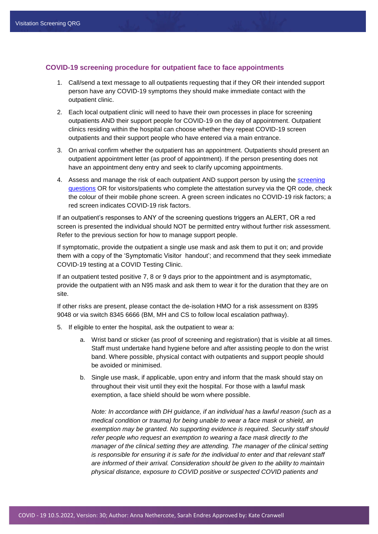#### <span id="page-4-0"></span>**COVID-19 screening procedure for outpatient face to face appointments**

- 1. Call/send a text message to all outpatients requesting that if they OR their intended support person have any COVID-19 symptoms they should make immediate contact with the outpatient clinic.
- 2. Each local outpatient clinic will need to have their own processes in place for screening outpatients AND their support people for COVID-19 on the day of appointment. Outpatient clinics residing within the hospital can choose whether they repeat COVID-19 screen outpatients and their support people who have entered via a main entrance.
- 3. On arrival confirm whether the outpatient has an appointment. Outpatients should present an outpatient appointment letter (as proof of appointment). If the person presenting does not have an appointment deny entry and seek to clarify upcoming appointments.
- 4. Assess and manage the risk of each outpatient AND support person by using the [screening](#page-8-0)  [questions](#page-8-0) OR for visitors/patients who complete the attestation survey via the QR code, check the colour of their mobile phone screen. A green screen indicates no COVID-19 risk factors; a red screen indicates COVID-19 risk factors.

If an outpatient's responses to ANY of the screening questions triggers an ALERT, OR a red screen is presented the individual should NOT be permitted entry without further risk assessment. Refer to the previous section for how to manage support people.

If symptomatic, provide the outpatient a single use mask and ask them to put it on; and provide them with a copy of the 'Symptomatic Visitor handout'; and recommend that they seek immediate COVID-19 testing at a COVID Testing Clinic.

If an outpatient tested positive 7, 8 or 9 days prior to the appointment and is asymptomatic, provide the outpatient with an N95 mask and ask them to wear it for the duration that they are on site.

If other risks are present, please contact the de-isolation HMO for a risk assessment on 8395 9048 or via switch 8345 6666 (BM, MH and CS to follow local escalation pathway).

- 5. If eligible to enter the hospital, ask the outpatient to wear a:
	- a. Wrist band or sticker (as proof of screening and registration) that is visible at all times. Staff must undertake hand hygiene before and after assisting people to don the wrist band. Where possible, physical contact with outpatients and support people should be avoided or minimised.
	- b. Single use mask, if applicable, upon entry and inform that the mask should stay on throughout their visit until they exit the hospital. For those with a lawful mask exemption, a face shield should be worn where possible.

*Note: In accordance with DH guidance, if an individual has a lawful reason (such as a medical condition or trauma) for being unable to wear a face mask or shield, an exemption may be granted. No supporting evidence is required. Security staff should refer people who request an exemption to wearing a face mask directly to the manager of the clinical setting they are attending. The manager of the clinical setting is responsible for ensuring it is safe for the individual to enter and that relevant staff are informed of their arrival. Consideration should be given to the ability to maintain physical distance, exposure to COVID positive or suspected COVID patients and*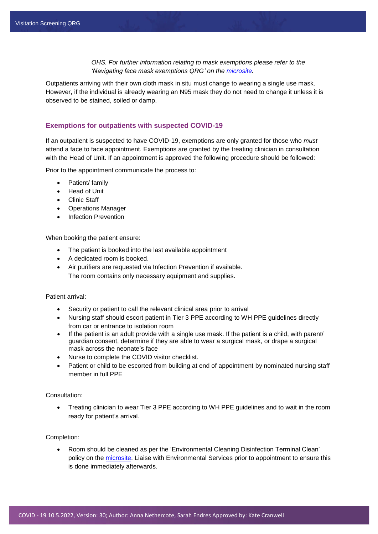*OHS. For further information relating to mask exemptions please refer to the 'Navigating face mask exemptions QRG' on the [microsite.](https://coronavirus.wh.org.au/quick-reference-guides/)* 

Outpatients arriving with their own cloth mask in situ must change to wearing a single use mask. However, if the individual is already wearing an N95 mask they do not need to change it unless it is observed to be stained, soiled or damp.

#### <span id="page-5-0"></span>**Exemptions for outpatients with suspected COVID-19**

If an outpatient is suspected to have COVID-19, exemptions are only granted for those who *must*  attend a face to face appointment. Exemptions are granted by the treating clinician in consultation with the Head of Unit. If an appointment is approved the following procedure should be followed:

Prior to the appointment communicate the process to:

- Patient/ family
- Head of Unit
- Clinic Staff
- Operations Manager
- Infection Prevention

When booking the patient ensure:

- The patient is booked into the last available appointment
- A dedicated room is booked.
- Air purifiers are requested via Infection Prevention if available. The room contains only necessary equipment and supplies.

Patient arrival:

- Security or patient to call the relevant clinical area prior to arrival
- Nursing staff should escort patient in Tier 3 PPE according to WH PPE guidelines directly from car or entrance to isolation room
- If the patient is an adult provide with a single use mask. If the patient is a child, with parent/ guardian consent, determine if they are able to wear a surgical mask, or drape a surgical mask across the neonate's face
- Nurse to complete the COVID visitor checklist.
- Patient or child to be escorted from building at end of appointment by nominated nursing staff member in full PPE

#### Consultation:

 Treating clinician to wear Tier 3 PPE according to WH PPE guidelines and to wait in the room ready for patient's arrival.

Completion:

 Room should be cleaned as per the 'Environmental Cleaning Disinfection Terminal Clean' policy on the [microsite.](https://coronavirus.wh.org.au/quick-reference-guides/) Liaise with Environmental Services prior to appointment to ensure this is done immediately afterwards.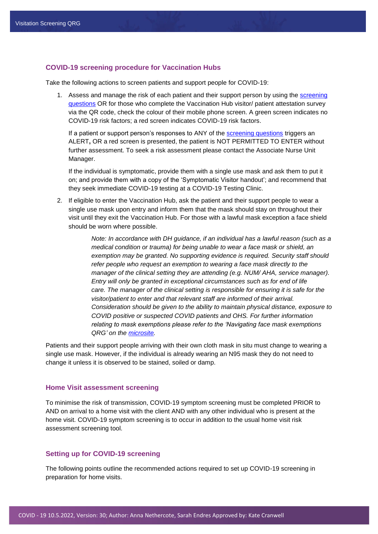#### <span id="page-6-0"></span>**COVID-19 screening procedure for Vaccination Hubs**

Take the following actions to screen patients and support people for COVID-19:

1. Assess and manage the risk of each patient and their support person by using the [screening](file://///whoffice/shared/WH%202020%20nCoV/Microsite%20documents/V%20-%20Visitation%20documents/Visitation%20Screening%20QRG/Screening%20questions%20for%20people%20attending%20Vaccination%20Hubs)  [questions](file://///whoffice/shared/WH%202020%20nCoV/Microsite%20documents/V%20-%20Visitation%20documents/Visitation%20Screening%20QRG/Screening%20questions%20for%20people%20attending%20Vaccination%20Hubs) OR for those who complete the Vaccination Hub visitor/ patient attestation survey via the QR code, check the colour of their mobile phone screen. A green screen indicates no COVID-19 risk factors; a red screen indicates COVID-19 risk factors.

If a patient or support person's responses to ANY of the [screening questions](file://///whoffice/shared/WH%202020%20nCoV/Microsite%20documents/V%20-%20Visitation%20documents/Visitation%20Screening%20QRG/Screening%20questions%20for%20people%20attending%20Vaccination%20Hubs) triggers an ALERT**,** OR a red screen is presented, the patient is NOT PERMITTED TO ENTER without further assessment. To seek a risk assessment please contact the Associate Nurse Unit Manager.

If the individual is symptomatic, provide them with a single use mask and ask them to put it on; and provide them with a copy of the 'Symptomatic Visitor handout'; and recommend that they seek immediate COVID-19 testing at a COVID-19 Testing Clinic.

2. If eligible to enter the Vaccination Hub, ask the patient and their support people to wear a single use mask upon entry and inform them that the mask should stay on throughout their visit until they exit the Vaccination Hub. For those with a lawful mask exception a face shield should be worn where possible.

> *Note: In accordance with DH guidance, if an individual has a lawful reason (such as a medical condition or trauma) for being unable to wear a face mask or shield, an exemption may be granted. No supporting evidence is required. Security staff should refer people who request an exemption to wearing a face mask directly to the manager of the clinical setting they are attending (e.g. NUM/ AHA, service manager). Entry will only be granted in exceptional circumstances such as for end of life care. The manager of the clinical setting is responsible for ensuring it is safe for the visitor/patient to enter and that relevant staff are informed of their arrival. Consideration should be given to the ability to maintain physical distance, exposure to COVID positive or suspected COVID patients and OHS. For further information relating to mask exemptions please refer to the 'Navigating face mask exemptions QRG' on the [microsite.](https://coronavirus.wh.org.au/quick-reference-guides/)*

Patients and their support people arriving with their own cloth mask in situ must change to wearing a single use mask. However, if the individual is already wearing an N95 mask they do not need to change it unless it is observed to be stained, soiled or damp.

#### <span id="page-6-1"></span>**Home Visit assessment screening**

To minimise the risk of transmission, COVID-19 symptom screening must be completed PRIOR to AND on arrival to a home visit with the client AND with any other individual who is present at the home visit. COVID-19 symptom screening is to occur in addition to the usual home visit risk assessment screening tool.

#### <span id="page-6-2"></span>**Setting up for COVID-19 screening**

The following points outline the recommended actions required to set up COVID-19 screening in preparation for home visits.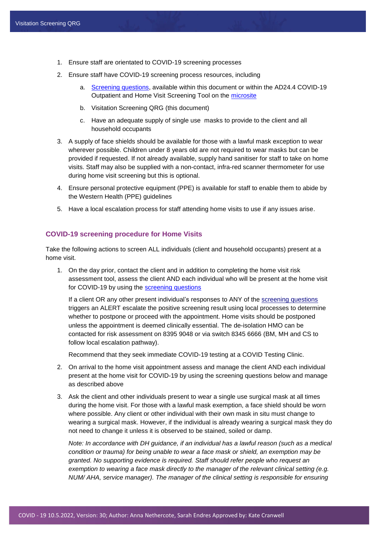- 1. Ensure staff are orientated to COVID-19 screening processes
- 2. Ensure staff have COVID-19 screening process resources, including
	- a. [Screening questions,](#page-8-0) available within this document or within the AD24.4 COVID-19 Outpatient and Home Visit Screening Tool on the [microsite](https://coronavirus.wh.org.au/quick-reference-guides/)
	- b. Visitation Screening QRG (this document)
	- c. Have an adequate supply of single use masks to provide to the client and all household occupants
- 3. A supply of face shields should be available for those with a lawful mask exception to wear wherever possible. Children under 8 years old are not required to wear masks but can be provided if requested. If not already available, supply hand sanitiser for staff to take on home visits. Staff may also be supplied with a non-contact, infra-red scanner thermometer for use during home visit screening but this is optional.
- 4. Ensure personal protective equipment (PPE) is available for staff to enable them to abide by the Western Health (PPE) guidelines
- 5. Have a local escalation process for staff attending home visits to use if any issues arise.

#### <span id="page-7-0"></span>**COVID-19 screening procedure for Home Visits**

Take the following actions to screen ALL individuals (client and household occupants) present at a home visit.

1. On the day prior, contact the client and in addition to completing the home visit risk assessment tool, assess the client AND each individual who will be present at the home visit for COVID-19 by using the [screening questions](#page-8-0)

If a client OR any other present individual's responses to ANY of the [screening questions](#page-8-0) triggers an ALERT escalate the positive screening result using local processes to determine whether to postpone or proceed with the appointment. Home visits should be postponed unless the appointment is deemed clinically essential. The de-isolation HMO can be contacted for risk assessment on 8395 9048 or via switch 8345 6666 (BM, MH and CS to follow local escalation pathway).

Recommend that they seek immediate COVID-19 testing at a COVID Testing Clinic.

- 2. On arrival to the home visit appointment assess and manage the client AND each individual present at the home visit for COVID-19 by using the screening questions below and manage as described above
- 3. Ask the client and other individuals present to wear a single use surgical mask at all times during the home visit. For those with a lawful mask exemption, a face shield should be worn where possible. Any client or other individual with their own mask in situ must change to wearing a surgical mask. However, if the individual is already wearing a surgical mask they do not need to change it unless it is observed to be stained, soiled or damp.

*Note: In accordance with DH guidance, if an individual has a lawful reason (such as a medical condition or trauma) for being unable to wear a face mask or shield, an exemption may be granted. No supporting evidence is required. Staff should refer people who request an exemption to wearing a face mask directly to the manager of the relevant clinical setting (e.g. NUM/ AHA, service manager). The manager of the clinical setting is responsible for ensuring*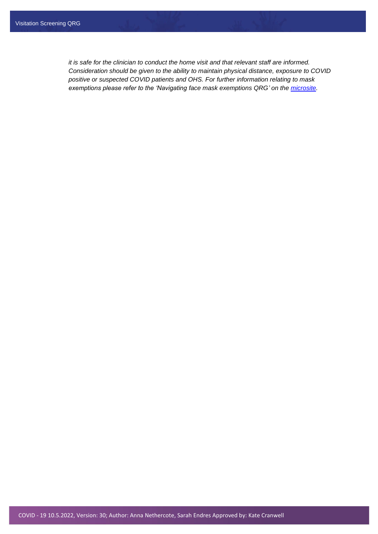<span id="page-8-0"></span>*it is safe for the clinician to conduct the home visit and that relevant staff are informed. Consideration should be given to the ability to maintain physical distance, exposure to COVID positive or suspected COVID patients and OHS. For further information relating to mask exemptions please refer to the 'Navigating face mask exemptions QRG' on the [microsite.](https://coronavirus.wh.org.au/quick-reference-guides/)*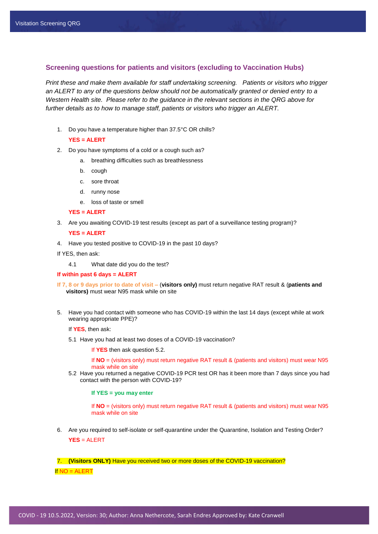#### <span id="page-9-0"></span>**Screening questions for patients and visitors (excluding to Vaccination Hubs)**

*Print these and make them available for staff undertaking screening. Patients or visitors who trigger an ALERT to any of the questions below should not be automatically granted or denied entry to a Western Health site. Please refer to the guidance in the relevant sections in the QRG above for further details as to how to manage staff, patients or visitors who trigger an ALERT.*

1. Do you have a temperature higher than 37.5°C OR chills?

#### **YES = ALERT**

- 2. Do you have symptoms of a cold or a cough such as?
	- a. breathing difficulties such as breathlessness
	- b. cough
	- c. sore throat
	- d. runny nose
	- e. loss of taste or smell

#### **YES = ALERT**

3. Are you awaiting COVID-19 test results (except as part of a surveillance testing program)?

**YES = ALERT**

4. Have you tested positive to COVID-19 in the past 10 days?

If YES, then ask:

4.1 What date did you do the test?

#### **If within past 6 days = ALERT**

- **If 7, 8 or 9 days prior to date of visit –** (**visitors only)** must return negative RAT result & (**patients and visitors)** must wear N95 mask while on site
- 5. Have you had contact with someone who has COVID-19 within the last 14 days (except while at work wearing appropriate PPE)?

If **YES**, then ask:

5.1 Have you had at least two doses of a COVID-19 vaccination?

If **YES** then ask question 5.2.

If **NO** = (visitors only) must return negative RAT result & (patients and visitors) must wear N95 mask while on site

5.2 Have you returned a negative COVID-19 PCR test OR has it been more than 7 days since you had contact with the person with COVID-19?

**If YES = you may enter**

If **NO** = (visitors only) must return negative RAT result & (patients and visitors) must wear N95 mask while on site

6. Are you required to self-isolate or self-quarantine under the Quarantine, Isolation and Testing Order? **YES** = ALERT

7. **(Visitors ONLY)** Have you received two or more doses of the COVID-19 vaccination?

If NO = ALERT